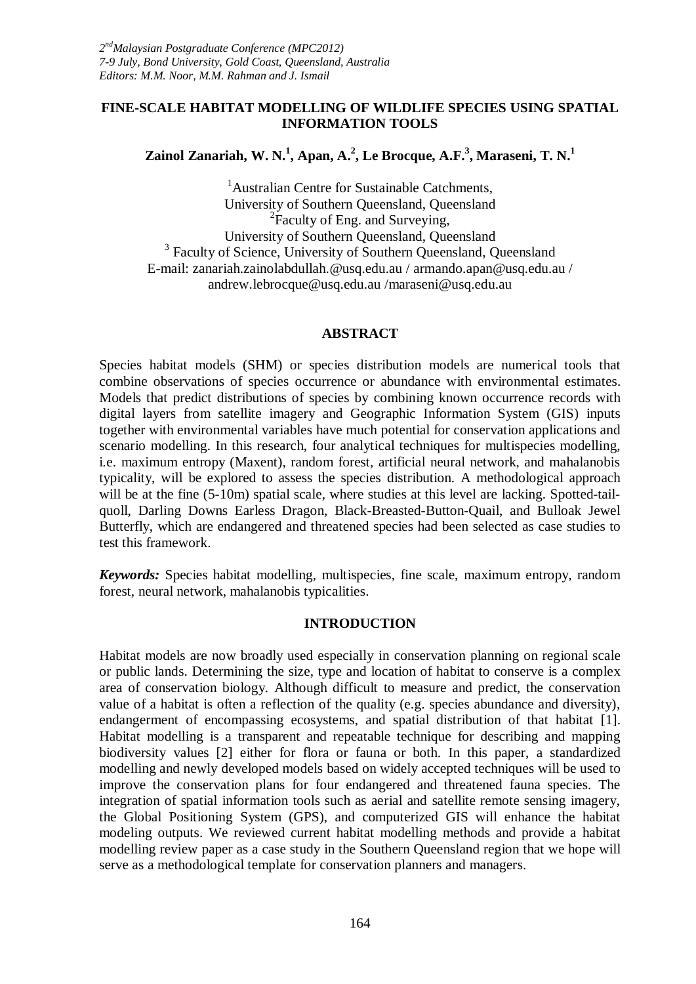### **FINE-SCALE HABITAT MODELLING OF WILDLIFE SPECIES USING SPATIAL INFORMATION TOOLS**

**Zainol Zanariah, W. N.<sup>1</sup> , Apan, A.<sup>2</sup> , Le Brocque, A.F.<sup>3</sup> , Maraseni, T. N.<sup>1</sup>**

<sup>1</sup>Australian Centre for Sustainable Catchments, University of Southern Queensland, Queensland <sup>2</sup>Faculty of Eng. and Surveying, University of Southern Queensland, Queensland <sup>3</sup> Faculty of Science, University of Southern Queensland, Queensland E-mail: zanariah.zainolabdullah.@usq.edu.au / armando.apan@usq.edu.au / andrew.lebrocque@usq.edu.au /maraseni@usq.edu.au

#### **ABSTRACT**

Species habitat models (SHM) or species distribution models are numerical tools that combine observations of species occurrence or abundance with environmental estimates. Models that predict distributions of species by combining known occurrence records with digital layers from satellite imagery and Geographic Information System (GIS) inputs together with environmental variables have much potential for conservation applications and scenario modelling. In this research, four analytical techniques for multispecies modelling, i.e. maximum entropy (Maxent), random forest, artificial neural network, and mahalanobis typicality, will be explored to assess the species distribution. A methodological approach will be at the fine (5-10m) spatial scale, where studies at this level are lacking. Spotted-tailquoll, Darling Downs Earless Dragon, Black-Breasted-Button-Quail, and Bulloak Jewel Butterfly, which are endangered and threatened species had been selected as case studies to test this framework.

*Keywords:* Species habitat modelling, multispecies, fine scale, maximum entropy, random forest, neural network, mahalanobis typicalities.

#### **INTRODUCTION**

Habitat models are now broadly used especially in conservation planning on regional scale or public lands. Determining the size, type and location of habitat to conserve is a complex area of conservation biology. Although difficult to measure and predict, the conservation value of a habitat is often a reflection of the quality (e.g. species abundance and diversity), endangerment of encompassing ecosystems, and spatial distribution of that habitat [1]. Habitat modelling is a transparent and repeatable technique for describing and mapping biodiversity values [2] either for flora or fauna or both. In this paper, a standardized modelling and newly developed models based on widely accepted techniques will be used to improve the conservation plans for four endangered and threatened fauna species. The integration of spatial information tools such as aerial and satellite remote sensing imagery, the Global Positioning System (GPS), and computerized GIS will enhance the habitat modeling outputs. We reviewed current habitat modelling methods and provide a habitat modelling review paper as a case study in the Southern Queensland region that we hope will serve as a methodological template for conservation planners and managers.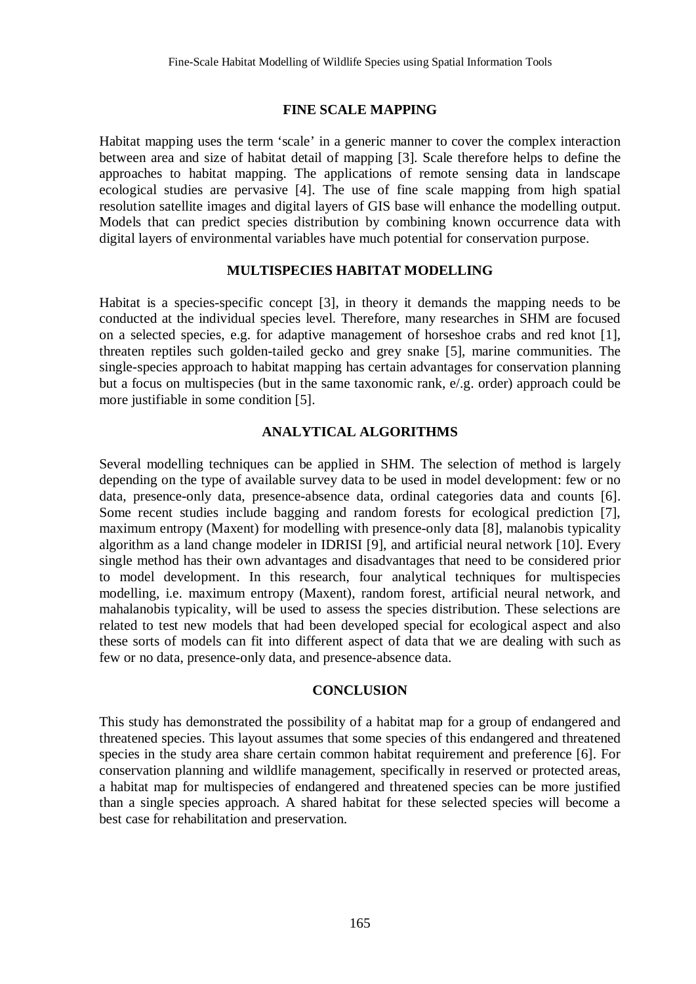### **FINE SCALE MAPPING**

Habitat mapping uses the term 'scale' in a generic manner to cover the complex interaction between area and size of habitat detail of mapping [3]. Scale therefore helps to define the approaches to habitat mapping. The applications of remote sensing data in landscape ecological studies are pervasive [4]. The use of fine scale mapping from high spatial resolution satellite images and digital layers of GIS base will enhance the modelling output. Models that can predict species distribution by combining known occurrence data with digital layers of environmental variables have much potential for conservation purpose.

#### **MULTISPECIES HABITAT MODELLING**

Habitat is a species-specific concept [3], in theory it demands the mapping needs to be conducted at the individual species level. Therefore, many researches in SHM are focused on a selected species, e.g. for adaptive management of horseshoe crabs and red knot [1], threaten reptiles such golden-tailed gecko and grey snake [5], marine communities. The single-species approach to habitat mapping has certain advantages for conservation planning but a focus on multispecies (but in the same taxonomic rank, e/.g. order) approach could be more justifiable in some condition [5].

# **ANALYTICAL ALGORITHMS**

Several modelling techniques can be applied in SHM. The selection of method is largely depending on the type of available survey data to be used in model development: few or no data, presence-only data, presence-absence data, ordinal categories data and counts [6]. Some recent studies include bagging and random forests for ecological prediction [7], maximum entropy (Maxent) for modelling with presence-only data [8], malanobis typicality algorithm as a land change modeler in IDRISI [9], and artificial neural network [10]. Every single method has their own advantages and disadvantages that need to be considered prior to model development. In this research, four analytical techniques for multispecies modelling, i.e. maximum entropy (Maxent), random forest, artificial neural network, and mahalanobis typicality, will be used to assess the species distribution. These selections are related to test new models that had been developed special for ecological aspect and also these sorts of models can fit into different aspect of data that we are dealing with such as few or no data, presence-only data, and presence-absence data.

#### **CONCLUSION**

This study has demonstrated the possibility of a habitat map for a group of endangered and threatened species. This layout assumes that some species of this endangered and threatened species in the study area share certain common habitat requirement and preference [6]. For conservation planning and wildlife management, specifically in reserved or protected areas, a habitat map for multispecies of endangered and threatened species can be more justified than a single species approach. A shared habitat for these selected species will become a best case for rehabilitation and preservation.